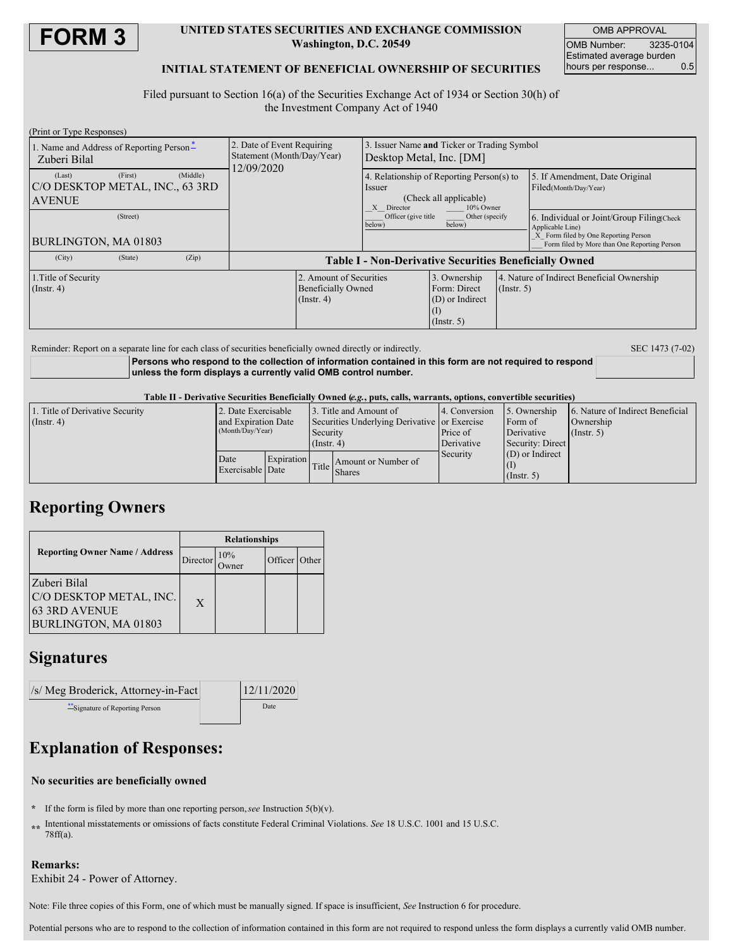

### **UNITED STATES SECURITIES AND EXCHANGE COMMISSION Washington, D.C. 20549**

OMB APPROVAL OMB Number: 3235-0104 Estimated average burden<br>hours per response... 0.5 hours per response...

## **INITIAL STATEMENT OF BENEFICIAL OWNERSHIP OF SECURITIES**

Filed pursuant to Section 16(a) of the Securities Exchange Act of 1934 or Section 30(h) of the Investment Company Act of 1940

| (Print or Type Responses)                                  |         |          |                                                                        |                                                                          |                                                                                                          |                                                                     |             |                                                                                                                                                        |  |
|------------------------------------------------------------|---------|----------|------------------------------------------------------------------------|--------------------------------------------------------------------------|----------------------------------------------------------------------------------------------------------|---------------------------------------------------------------------|-------------|--------------------------------------------------------------------------------------------------------------------------------------------------------|--|
| 1. Name and Address of Reporting Person-<br>Zuberi Bilal   |         |          | 2. Date of Event Requiring<br>Statement (Month/Day/Year)<br>12/09/2020 |                                                                          | Issuer Name and Ticker or Trading Symbol<br>Desktop Metal, Inc. [DM]                                     |                                                                     |             |                                                                                                                                                        |  |
| (Last)<br>C/O DESKTOP METAL, INC., 63 3RD<br><b>AVENUE</b> | (First) | (Middle) |                                                                        |                                                                          | 4. Relationship of Reporting Person(s) to<br>Issuer<br>(Check all applicable)<br>X Director<br>10% Owner |                                                                     |             | 5. If Amendment, Date Original<br>Filed(Month/Day/Year)                                                                                                |  |
| (Street)<br>BURLINGTON, MA 01803                           |         |          |                                                                        |                                                                          | Officer (give title)<br>Other (specify)<br>below)<br>below)                                              |                                                                     |             | 6. Individual or Joint/Group Filing(Check)<br>Applicable Line)<br>X Form filed by One Reporting Person<br>Form filed by More than One Reporting Person |  |
| (City)                                                     | (State) | (Zip)    | <b>Table I - Non-Derivative Securities Beneficially Owned</b>          |                                                                          |                                                                                                          |                                                                     |             |                                                                                                                                                        |  |
| 1. Title of Security<br>$($ Instr. 4 $)$                   |         |          |                                                                        | 2. Amount of Securities<br><b>Beneficially Owned</b><br>$($ Instr. 4 $)$ |                                                                                                          | 3. Ownership<br>Form: Direct<br>(D) or Indirect<br>$($ Instr. 5 $)$ | (Insert, 5) | 4. Nature of Indirect Beneficial Ownership                                                                                                             |  |

Reminder: Report on a separate line for each class of securities beneficially owned directly or indirectly. SEC 1473 (7-02)

**Persons who respond to the collection of information contained in this form are not required to respond unless the form displays a currently valid OMB control number.**

Table II - Derivative Securities Beneficially Owned (e.g., puts, calls, warrants, options, convertible securities)

| 1. Title of Derivative Security | 2. Date Exercisable                     |            | 3. Title and Amount of                                                       |                                                      | 14. Conversion | 5. Ownership      | 6. Nature of Indirect Beneficial |  |
|---------------------------------|-----------------------------------------|------------|------------------------------------------------------------------------------|------------------------------------------------------|----------------|-------------------|----------------------------------|--|
| $($ Instr. 4 $)$                | and Expiration Date<br>(Month/Day/Year) |            | Securities Underlying Derivative or Exercise<br>Security<br>$($ Instr. 4 $)$ |                                                      |                | Form of           | Ownership<br>$($ Instr. 5 $)$    |  |
|                                 |                                         |            |                                                                              |                                                      | Price of       | Derivative        |                                  |  |
|                                 |                                         |            |                                                                              |                                                      | Derivative     | Security: Direct  |                                  |  |
|                                 | Date<br>Exercisable Date                | Expiration |                                                                              | Amount or Number of<br>$\boxed{\text{Title}}$ Shares | Security       | $(D)$ or Indirect |                                  |  |
|                                 |                                         |            |                                                                              |                                                      |                |                   |                                  |  |
|                                 |                                         |            |                                                                              |                                                      |                | $($ Instr. 5)     |                                  |  |

# **Reporting Owners**

|                                                                                         | <b>Relationships</b> |     |               |  |  |  |
|-----------------------------------------------------------------------------------------|----------------------|-----|---------------|--|--|--|
| <b>Reporting Owner Name / Address</b>                                                   | Director             | 10% | Officer Other |  |  |  |
| Zuberi Bilal<br>C/O DESKTOP METAL, INC.<br><b>63 3RD AVENUE</b><br>BURLINGTON, MA 01803 | $\mathbf{X}$         |     |               |  |  |  |

# **Signatures**

| $\sqrt{s}$ Meg Broderick, Attorney-in-Fact | 12/11/2020 |  |  |
|--------------------------------------------|------------|--|--|
| Signature of Reporting Person              | Date       |  |  |

# **Explanation of Responses:**

## **No securities are beneficially owned**

- **\*** If the form is filed by more than one reporting person,*see* Instruction 5(b)(v).
- **\*\*** Intentional misstatements or omissions of facts constitute Federal Criminal Violations. *See* 18 U.S.C. 1001 and 15 U.S.C. 78ff(a).

## **Remarks:**

Exhibit 24 - Power of Attorney.

Note: File three copies of this Form, one of which must be manually signed. If space is insufficient, *See* Instruction 6 for procedure.

Potential persons who are to respond to the collection of information contained in this form are not required to respond unless the form displays a currently valid OMB number.